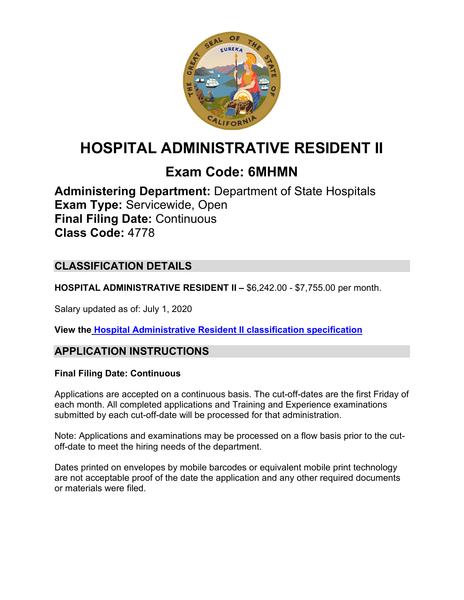

# **HOSPITAL ADMINISTRATIVE RESIDENT II**

# **Exam Code: 6MHMN**

**Administering Department:** Department of State Hospitals **Exam Type:** Servicewide, Open **Final Filing Date:** Continuous **Class Code:** 4778

# **CLASSIFICATION DETAILS**

**HOSPITAL ADMINISTRATIVE RESIDENT II –** \$6,242.00 - \$7,755.00 per month.

Salary updated as of: July 1, 2020

**View the [Hospital Administrative Resident II](https://www.calhr.ca.gov/state-hr-professionals/Pages/4777.aspx) classification specification**

## **APPLICATION INSTRUCTIONS**

### **Final Filing Date: Continuous**

Applications are accepted on a continuous basis. The cut-off-dates are the first Friday of each month. All completed applications and Training and Experience examinations submitted by each cut-off-date will be processed for that administration.

Note: Applications and examinations may be processed on a flow basis prior to the cutoff-date to meet the hiring needs of the department.

Dates printed on envelopes by mobile barcodes or equivalent mobile print technology are not acceptable proof of the date the application and any other required documents or materials were filed.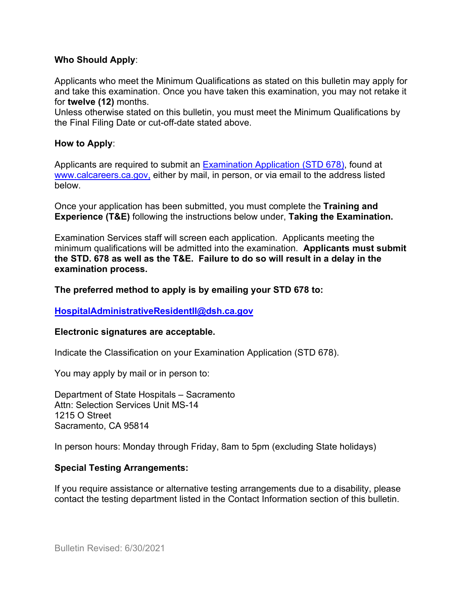#### **Who Should Apply**:

Applicants who meet the Minimum Qualifications as stated on this bulletin may apply for and take this examination. Once you have taken this examination, you may not retake it for **twelve (12)** months.

Unless otherwise stated on this bulletin, you must meet the Minimum Qualifications by the Final Filing Date or cut-off-date stated above.

### **How to Apply**:

Applicants are required to submit a[n Examination Application \(STD 678\),](https://jobs.ca.gov/pdf/std678.pdf) found at [www.calcareers.ca.gov,](http://www.calcareers.ca.gov/) either by mail, in person, or via email to the address listed below.

Once your application has been submitted, you must complete the **Training and Experience (T&E)** following the instructions below under, **Taking the Examination.**

Examination Services staff will screen each application. Applicants meeting the minimum qualifications will be admitted into the examination. **Applicants must submit the STD. 678 as well as the T&E. Failure to do so will result in a delay in the examination process.**

### **The preferred method to apply is by emailing your STD 678 to:**

#### **[HospitalAdministrativeResidentII@dsh.ca.gov](mailto:HospitalAdministrativeResidentII@dsh.ca.gov)**

#### **Electronic signatures are acceptable.**

Indicate the Classification on your Examination Application (STD 678).

You may apply by mail or in person to:

Department of State Hospitals – Sacramento Attn: Selection Services Unit MS-14 1215 O Street Sacramento, CA 95814

In person hours: Monday through Friday, 8am to 5pm (excluding State holidays)

#### **Special Testing Arrangements:**

If you require assistance or alternative testing arrangements due to a disability, please contact the testing department listed in the Contact Information section of this bulletin.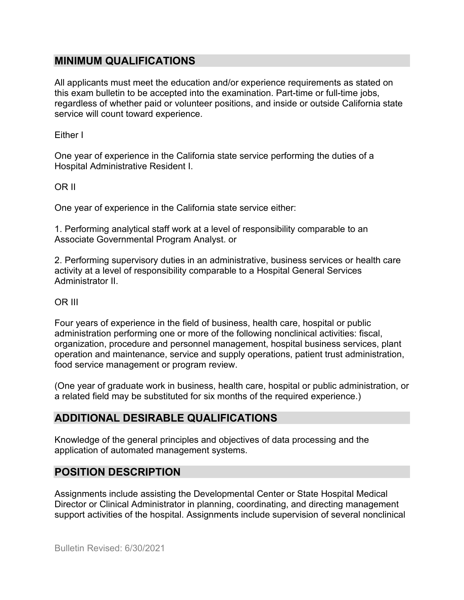### **MINIMUM QUALIFICATIONS**

All applicants must meet the education and/or experience requirements as stated on this exam bulletin to be accepted into the examination. Part-time or full-time jobs, regardless of whether paid or volunteer positions, and inside or outside California state service will count toward experience.

Either I

One year of experience in the California state service performing the duties of a Hospital Administrative Resident I.

OR II

One year of experience in the California state service either:

1. Performing analytical staff work at a level of responsibility comparable to an Associate Governmental Program Analyst. or

2. Performing supervisory duties in an administrative, business services or health care activity at a level of responsibility comparable to a Hospital General Services Administrator II.

#### OR III

Four years of experience in the field of business, health care, hospital or public administration performing one or more of the following nonclinical activities: fiscal, organization, procedure and personnel management, hospital business services, plant operation and maintenance, service and supply operations, patient trust administration, food service management or program review.

(One year of graduate work in business, health care, hospital or public administration, or a related field may be substituted for six months of the required experience.)

## **ADDITIONAL DESIRABLE QUALIFICATIONS**

Knowledge of the general principles and objectives of data processing and the application of automated management systems.

# **POSITION DESCRIPTION**

Assignments include assisting the Developmental Center or State Hospital Medical Director or Clinical Administrator in planning, coordinating, and directing management support activities of the hospital. Assignments include supervision of several nonclinical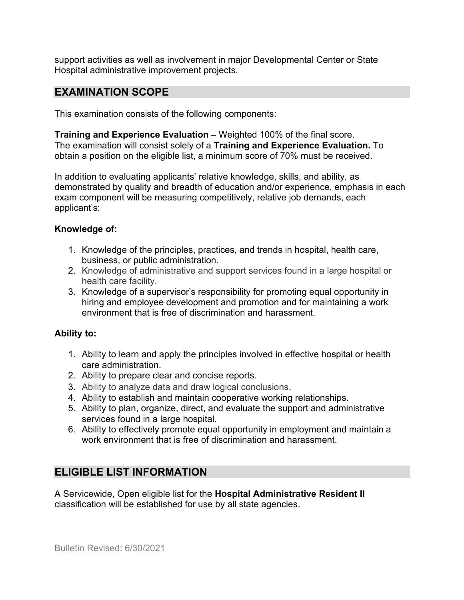support activities as well as involvement in major Developmental Center or State Hospital administrative improvement projects.

### **EXAMINATION SCOPE**

This examination consists of the following components:

**Training and Experience Evaluation –** Weighted 100% of the final score. The examination will consist solely of a **Training and Experience Evaluation.** To obtain a position on the eligible list, a minimum score of 70% must be received.

In addition to evaluating applicants' relative knowledge, skills, and ability, as demonstrated by quality and breadth of education and/or experience, emphasis in each exam component will be measuring competitively, relative job demands, each applicant's:

#### **Knowledge of:**

- 1. Knowledge of the principles, practices, and trends in hospital, health care, business, or public administration.
- 2. Knowledge of administrative and support services found in a large hospital or health care facility.
- 3. Knowledge of a supervisor's responsibility for promoting equal opportunity in hiring and employee development and promotion and for maintaining a work environment that is free of discrimination and harassment.

#### **Ability to:**

- 1. Ability to learn and apply the principles involved in effective hospital or health care administration.
- 2. Ability to prepare clear and concise reports.
- 3. Ability to analyze data and draw logical conclusions.
- 4. Ability to establish and maintain cooperative working relationships.
- 5. Ability to plan, organize, direct, and evaluate the support and administrative services found in a large hospital.
- 6. Ability to effectively promote equal opportunity in employment and maintain a work environment that is free of discrimination and harassment.

# **ELIGIBLE LIST INFORMATION**

A Servicewide, Open eligible list for the **Hospital Administrative Resident II** classification will be established for use by all state agencies.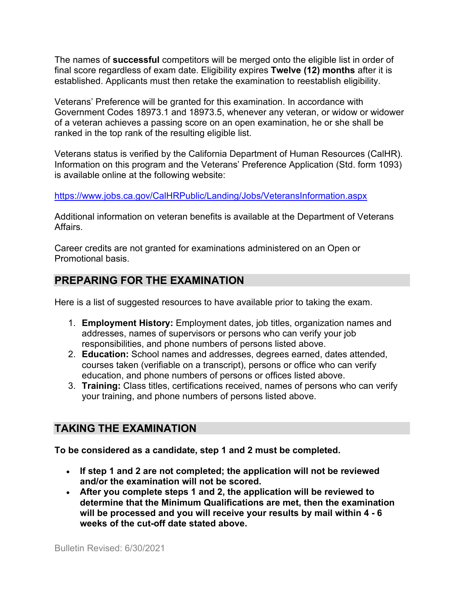The names of **successful** competitors will be merged onto the eligible list in order of final score regardless of exam date. Eligibility expires **Twelve (12) months** after it is established. Applicants must then retake the examination to reestablish eligibility.

Veterans' Preference will be granted for this examination. In accordance with Government Codes 18973.1 and 18973.5, whenever any veteran, or widow or widower of a veteran achieves a passing score on an open examination, he or she shall be ranked in the top rank of the resulting eligible list.

Veterans status is verified by the California Department of Human Resources (CalHR). Information on this program and the Veterans' Preference Application (Std. form 1093) is available online at the following website:

<https://www.jobs.ca.gov/CalHRPublic/Landing/Jobs/VeteransInformation.aspx>

Additional information on veteran benefits is available at the Department of Veterans Affairs.

Career credits are not granted for examinations administered on an Open or Promotional basis.

## **PREPARING FOR THE EXAMINATION**

Here is a list of suggested resources to have available prior to taking the exam.

- 1. **Employment History:** Employment dates, job titles, organization names and addresses, names of supervisors or persons who can verify your job responsibilities, and phone numbers of persons listed above.
- 2. **Education:** School names and addresses, degrees earned, dates attended, courses taken (verifiable on a transcript), persons or office who can verify education, and phone numbers of persons or offices listed above.
- 3. **Training:** Class titles, certifications received, names of persons who can verify your training, and phone numbers of persons listed above.

# **TAKING THE EXAMINATION**

**To be considered as a candidate, step 1 and 2 must be completed.**

- **If step 1 and 2 are not completed; the application will not be reviewed and/or the examination will not be scored.**
- **After you complete steps 1 and 2, the application will be reviewed to determine that the Minimum Qualifications are met, then the examination will be processed and you will receive your results by mail within 4 - 6 weeks of the cut-off date stated above.**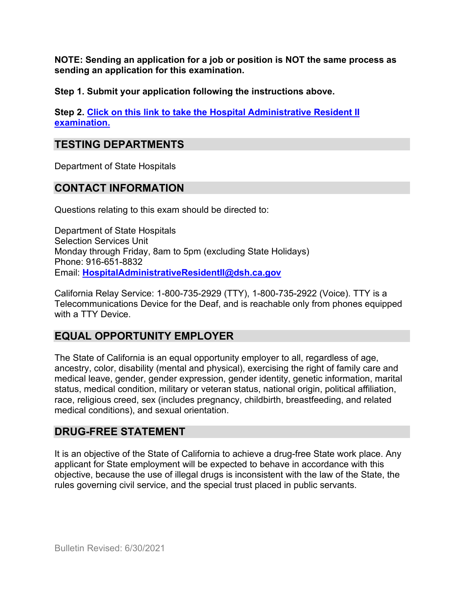**NOTE: Sending an application for a job or position is NOT the same process as sending an application for this examination.**

**Step 1. Submit your application following the instructions above.**

**Step 2. [Click on this link to take the Hospital Administrative Resident II](https://www.surveymonkey.com/r/L8NTTML) [examination.](https://www.surveymonkey.com/r/L8NTTML)**

## **TESTING DEPARTMENTS**

Department of State Hospitals

### **CONTACT INFORMATION**

Questions relating to this exam should be directed to:

Department of State Hospitals Selection Services Unit Monday through Friday, 8am to 5pm (excluding State Holidays) Phone: 916-651-8832 Email: **[HospitalAdministrativeResidentII@dsh.ca.gov](mailto:HospitalAdministrativeResidentII@dsh.ca.gov)**

California Relay Service: 1-800-735-2929 (TTY), 1-800-735-2922 (Voice). TTY is a Telecommunications Device for the Deaf, and is reachable only from phones equipped with a TTY Device.

### **EQUAL OPPORTUNITY EMPLOYER**

The State of California is an equal opportunity employer to all, regardless of age, ancestry, color, disability (mental and physical), exercising the right of family care and medical leave, gender, gender expression, gender identity, genetic information, marital status, medical condition, military or veteran status, national origin, political affiliation, race, religious creed, sex (includes pregnancy, childbirth, breastfeeding, and related medical conditions), and sexual orientation.

### **DRUG-FREE STATEMENT**

It is an objective of the State of California to achieve a drug-free State work place. Any applicant for State employment will be expected to behave in accordance with this objective, because the use of illegal drugs is inconsistent with the law of the State, the rules governing civil service, and the special trust placed in public servants.